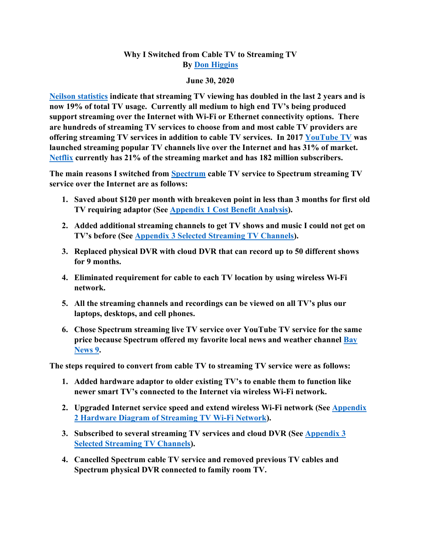## **Why I Switched from Cable TV to Streaming TV By [Don Higgins](mailto:don@higgins.net?subject=Why%20I%20switched%20from%20cable%20TV%20to%20streaming%20TV)**

## **June 30, 2020**

**[Neilson statistics](https://www.nielsen.com/us/en/insights/article/2020/playback-time-which-consumer-attitudes-will-shape-the-streaming-wars/) indicate that streaming TV viewing has doubled in the last 2 years and is now 19% of total TV usage. Currently all medium to high end TV's being produced support streaming over the Internet with Wi-Fi or Ethernet connectivity options. There are hundreds of streaming TV services to choose from and most cable TV providers are offering streaming TV services in addition to cable TV services. In 2017 [YouTube TV](https://tv.youtube.com/welcome/?utm_source=pm&utm_medium=gs&utm_campaign=1006175) was launched streaming popular TV channels live over the Internet and has 31% of market. [Netflix](https://www.netflix.com/browse) currently has 21% of the streaming market and has 182 million subscribers.**

**The main reasons I switched from [Spectrum](https://www.s9.com/charter/charter-tv-.html) cable TV service to Spectrum streaming TV service over the Internet are as follows:**

- **1. Saved about \$120 per month with breakeven point in less than 3 months for first old TV requiring adaptor (See [Appendix 1 Cost Benefit Analysis\)](#page-3-0).**
- **2. Added additional streaming channels to get TV shows and music I could not get on TV's before (See Appendix 3 [Selected Streaming TV Channels\)](#page-5-0).**
- **3. Replaced physical DVR with cloud DVR that can record up to 50 different shows for 9 months.**
- **4. Eliminated requirement for cable to each TV location by using wireless Wi-Fi network.**
- **5. All the streaming channels and recordings can be viewed on all TV's plus our laptops, desktops, and cell phones.**
- **6. Chose Spectrum streaming live TV service over YouTube TV service for the same price because Spectrum offered my favorite local news and weather channel [Bay](https://www.baynews9.com/fl/tampa)  [News 9.](https://www.baynews9.com/fl/tampa)**

**The steps required to convert from cable TV to streaming TV service were as follows:**

- **1. Added hardware adaptor to older existing TV's to enable them to function like newer smart TV's connected to the Internet via wireless Wi-Fi network.**
- **2. Upgraded Internet service speed and extend wireless Wi-Fi network (See [Appendix](#page-4-0)  2 [Hardware Diagram of Streaming TV Wi-Fi](#page-4-0) Network).**
- **3. Subscribed to several streaming TV services and cloud DVR (See [Appendix 3](#page-5-0) [Selected Streaming TV Channels\)](#page-5-0).**
- **4. Cancelled Spectrum cable TV service and removed previous TV cables and Spectrum physical DVR connected to family room TV.**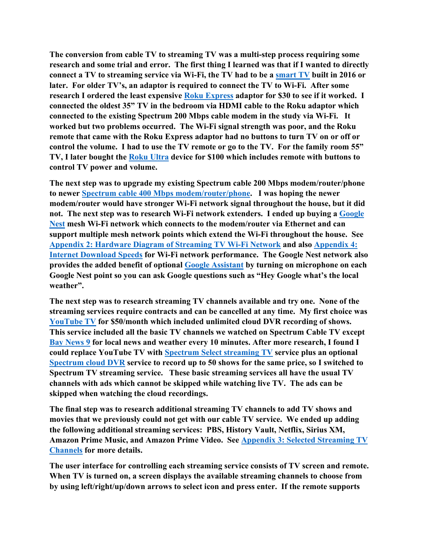**The conversion from cable TV to streaming TV was a multi-step process requiring some research and some trial and error. The first thing I learned was that if I wanted to directly connect a TV to streaming service via Wi-Fi, the TV had to be a [smart TV](https://www.digitaltrends.com/home-theater/what-is-a-smart-tv/) built in 2016 or later. For older TV's, an adaptor is required to connect the TV to Wi-Fi. After some research I ordered the least expensive [Roku Express](https://www.roku.com/products/roku-express) adaptor for \$30 to see if it worked. I connected the oldest 35" TV in the bedroom via HDMI cable to the Roku adaptor which connected to the existing Spectrum 200 Mbps cable modem in the study via Wi-Fi. It worked but two problems occurred. The Wi-Fi signal strength was poor, and the Roku remote that came with the Roku Express adaptor had no buttons to turn TV on or off or control the volume. I had to use the TV remote or go to the TV. For the family room 55" TV, I later bought the [Roku Ultra](https://www.roku.com/products/roku-ultra) device for \$100 which includes remote with buttons to control TV power and volume.**

**The next step was to upgrade my existing Spectrum cable 200 Mbps modem/router/phone to newer [Spectrum cable 400 Mbps](https://www.spectrumcustomers.com/spectrum-compatible-modem-routers/) modem/router/phone. I was hoping the newer modem/router would have stronger Wi-Fi network signal throughout the house, but it did not. The next step was to research Wi-Fi network extenders. I ended up buying a [Google](https://store.google.com/us/product/nest_wifi)  [Nest](https://store.google.com/us/product/nest_wifi) mesh Wi-Fi network which connects to the modem/router via Ethernet and can support multiple mesh network points which extend the Wi-Fi throughout the house. See [Appendix 2: Hardware Diagram of Streaming TV Wi-Fi Network](#page-4-0) and also [Appendix 4:](#page-6-0)  [Internet Download Speeds](#page-6-0) for Wi-Fi network performance. The Google Nest network also provides the added benefit of optional [Google Assistant](https://assistant.google.com/) by turning on microphone on each Google Nest point so you can ask Google questions such as "Hey Google what's the local weather".**

**The next step was to research streaming TV channels available and try one. None of the streaming services require contracts and can be cancelled at any time. My first choice was [YouTube TV](https://tv.youtube.com/welcome/?utm_source=pm&utm_medium=gs&utm_campaign=1006175) for \$50/month which included unlimited cloud DVR recording of shows. This service included all the basic TV channels we watched on Spectrum Cable TV except [Bay News 9](https://www.baynews9.com/fl/tampa) for local news and weather every 10 minutes. After more research, I found I could replace YouTube TV with Spectrum [Select streaming TV](https://www.s9.com/charter/charter-tv-.html) service plus an optional [Spectrum cloud DVR](https://www.spectrum.net/support/tv/cdvr-faq/) service to record up to 50 shows for the same price, so I switched to Spectrum TV streaming service. These basic streaming services all have the usual TV channels with ads which cannot be skipped while watching live TV. The ads can be skipped when watching the cloud recordings.**

**The final step was to research additional streaming TV channels to add TV shows and movies that we previously could not get with our cable TV service. We ended up adding the following additional streaming services: PBS, History Vault, Netflix, Sirius XM, Amazon Prime Music, and Amazon Prime Video. See [Appendix 3: Selected Streaming TV](#page-5-0)  [Channels](#page-5-0) for more details.**

**The user interface for controlling each streaming service consists of TV screen and remote. When TV is turned on, a screen displays the available streaming channels to choose from by using left/right/up/down arrows to select icon and press enter. If the remote supports**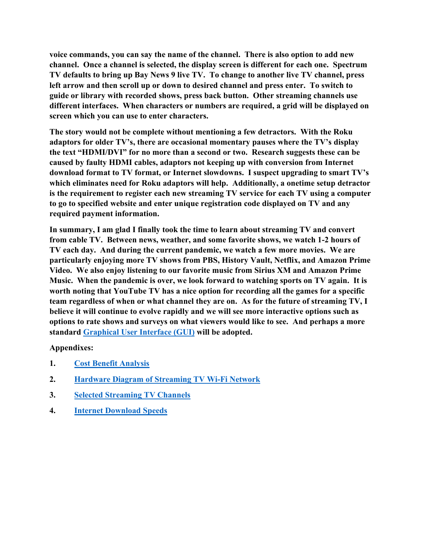**voice commands, you can say the name of the channel. There is also option to add new channel. Once a channel is selected, the display screen is different for each one. Spectrum TV defaults to bring up Bay News 9 live TV. To change to another live TV channel, press left arrow and then scroll up or down to desired channel and press enter. To switch to guide or library with recorded shows, press back button. Other streaming channels use different interfaces. When characters or numbers are required, a grid will be displayed on screen which you can use to enter characters.**

**The story would not be complete without mentioning a few detractors. With the Roku adaptors for older TV's, there are occasional momentary pauses where the TV's display the text "HDMI/DVI" for no more than a second or two. Research suggests these can be caused by faulty HDMI cables, adaptors not keeping up with conversion from Internet download format to TV format, or Internet slowdowns. I suspect upgrading to smart TV's which eliminates need for Roku adaptors will help. Additionally, a onetime setup detractor is the requirement to register each new streaming TV service for each TV using a computer to go to specified website and enter unique registration code displayed on TV and any required payment information.**

**In summary, I am glad I finally took the time to learn about streaming TV and convert from cable TV. Between news, weather, and some favorite shows, we watch 1-2 hours of TV each day. And during the current pandemic, we watch a few more movies. We are particularly enjoying more TV shows from PBS, History Vault, Netflix, and Amazon Prime Video. We also enjoy listening to our favorite music from Sirius XM and Amazon Prime Music. When the pandemic is over, we look forward to watching sports on TV again. It is worth noting that YouTube TV has a nice option for recording all the games for a specific team regardless of when or what channel they are on. As for the future of streaming TV, I believe it will continue to evolve rapidly and we will see more interactive options such as options to rate shows and surveys on what viewers would like to see. And perhaps a more standard [Graphical User Interface \(GUI\)](https://theblog.adobe.com/ask-the-uxperts-how-to-design-ux-and-uis-for-streaming-tv/) will be adopted.**

## **Appendixes:**

- **1. [Cost Benefit Analysis](#page-3-0)**
- **2. [Hardware Diagram of Streaming TV Wi-Fi Network](#page-4-0)**
- **3. [Selected Streaming TV Channels](#page-5-0)**
- **4. [Internet Download Speeds](#page-6-0)**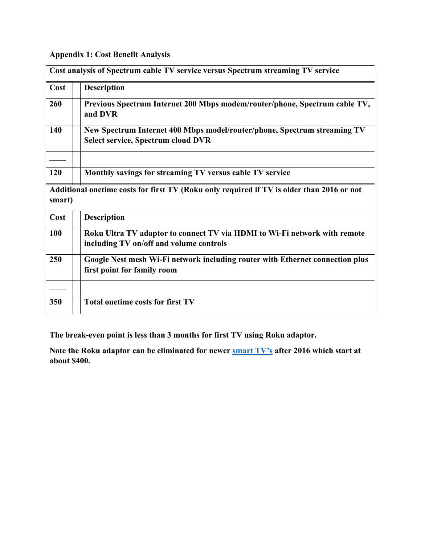## <span id="page-3-0"></span>**Appendix 1: Cost Benefit Analysis**

| Cost analysis of Spectrum cable TV service versus Spectrum streaming TV service                     |                                                                                                                       |  |  |  |  |
|-----------------------------------------------------------------------------------------------------|-----------------------------------------------------------------------------------------------------------------------|--|--|--|--|
| Cost                                                                                                | <b>Description</b>                                                                                                    |  |  |  |  |
| 260                                                                                                 | Previous Spectrum Internet 200 Mbps modem/router/phone, Spectrum cable TV,<br>and DVR                                 |  |  |  |  |
| 140                                                                                                 | New Spectrum Internet 400 Mbps model/router/phone, Spectrum streaming TV<br><b>Select service, Spectrum cloud DVR</b> |  |  |  |  |
|                                                                                                     |                                                                                                                       |  |  |  |  |
| 120                                                                                                 | Monthly savings for streaming TV versus cable TV service                                                              |  |  |  |  |
| Additional onetime costs for first TV (Roku only required if TV is older than 2016 or not<br>smart) |                                                                                                                       |  |  |  |  |
| Cost                                                                                                | <b>Description</b>                                                                                                    |  |  |  |  |
| 100                                                                                                 | Roku Ultra TV adaptor to connect TV via HDMI to Wi-Fi network with remote<br>including TV on/off and volume controls  |  |  |  |  |
| 250                                                                                                 | Google Nest mesh Wi-Fi network including router with Ethernet connection plus<br>first point for family room          |  |  |  |  |
|                                                                                                     |                                                                                                                       |  |  |  |  |
| 350                                                                                                 | <b>Total onetime costs for first TV</b>                                                                               |  |  |  |  |

**The break-even point is less than 3 months for first TV using Roku adaptor.**

**Note the Roku adaptor can be eliminated for newer [smart TV's](https://www.google.com/search?q=smart+4K%2FUHD+TV%E2%80%99s&oq=smart+4K%2FUHD+TV%E2%80%99s) after 2016 which start at about \$400.**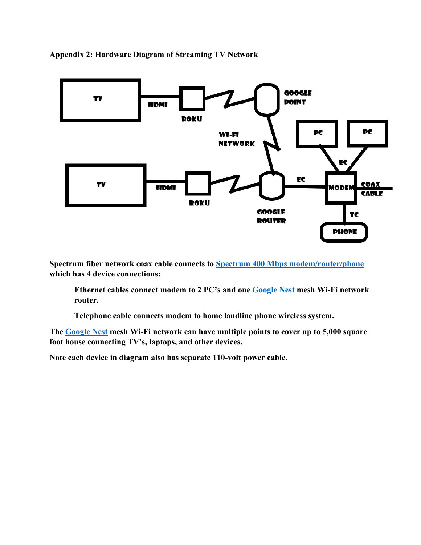<span id="page-4-0"></span>**Appendix 2: Hardware Diagram of Streaming TV Network**



**Spectrum fiber network coax cable connects to [Spectrum 400 Mbps modem/router/phone](https://www.spectrumcustomers.com/spectrum-compatible-modem-routers/) which has 4 device connections:**

**Ethernet cables connect modem to 2 PC's and one [Google Nest](https://store.google.com/us/product/nest_wifi) mesh Wi-Fi network router.**

**Telephone cable connects modem to home landline phone wireless system.**

**The [Google Nest](https://store.google.com/us/product/nest_wifi) mesh Wi-Fi network can have multiple points to cover up to 5,000 square foot house connecting TV's, laptops, and other devices.**

**Note each device in diagram also has separate 110-volt power cable.**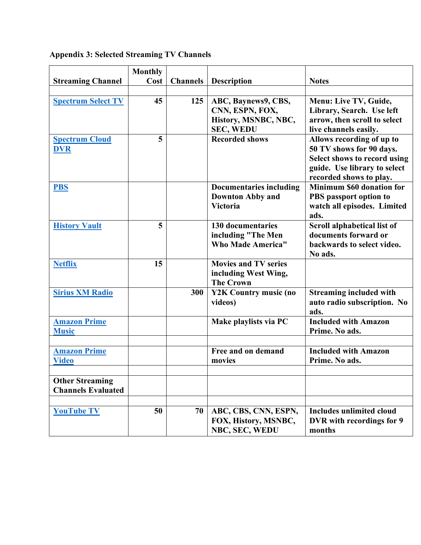|                                                     | <b>Monthly</b> |                 |                                                                                    |                                                                                                                                                  |
|-----------------------------------------------------|----------------|-----------------|------------------------------------------------------------------------------------|--------------------------------------------------------------------------------------------------------------------------------------------------|
| <b>Streaming Channel</b>                            | Cost           | <b>Channels</b> | <b>Description</b>                                                                 | <b>Notes</b>                                                                                                                                     |
|                                                     |                |                 |                                                                                    |                                                                                                                                                  |
| <b>Spectrum Select TV</b>                           | 45             | 125             | ABC, Baynews9, CBS,<br>CNN, ESPN, FOX,<br>History, MSNBC, NBC,<br><b>SEC, WEDU</b> | Menu: Live TV, Guide,<br>Library, Search. Use left<br>arrow, then scroll to select<br>live channels easily.                                      |
| <b>Spectrum Cloud</b><br><b>DVR</b>                 | 5              |                 | <b>Recorded shows</b>                                                              | Allows recording of up to<br>50 TV shows for 90 days.<br>Select shows to record using<br>guide. Use library to select<br>recorded shows to play. |
| <b>PBS</b>                                          |                |                 | <b>Documentaries including</b><br><b>Downton Abby and</b><br><b>Victoria</b>       | <b>Minimum \$60 donation for</b><br>PBS passport option to<br>watch all episodes. Limited<br>ads.                                                |
| <b>History Vault</b>                                | 5              |                 | <b>130 documentaries</b><br>including "The Men<br><b>Who Made America"</b>         | Scroll alphabetical list of<br>documents forward or<br>backwards to select video.<br>No ads.                                                     |
| <b>Netflix</b>                                      | 15             |                 | <b>Movies and TV series</b><br>including West Wing,<br><b>The Crown</b>            |                                                                                                                                                  |
| <b>Sirius XM Radio</b>                              |                | 300             | Y2K Country music (no<br>videos)                                                   | <b>Streaming included with</b><br>auto radio subscription. No<br>ads.                                                                            |
| <b>Amazon Prime</b><br><b>Music</b>                 |                |                 | Make playlists via PC                                                              | <b>Included with Amazon</b><br>Prime. No ads.                                                                                                    |
| <b>Amazon Prime</b><br><b>Video</b>                 |                |                 | Free and on demand<br>movies                                                       | <b>Included with Amazon</b><br>Prime. No ads.                                                                                                    |
|                                                     |                |                 |                                                                                    |                                                                                                                                                  |
| <b>Other Streaming</b><br><b>Channels Evaluated</b> |                |                 |                                                                                    |                                                                                                                                                  |
| <b>YouTube TV</b>                                   | 50             | 70              | ABC, CBS, CNN, ESPN,<br>FOX, History, MSNBC,<br>NBC, SEC, WEDU                     | <b>Includes unlimited cloud</b><br>DVR with recordings for 9<br>months                                                                           |

<span id="page-5-0"></span>**Appendix 3: Selected Streaming TV Channels**